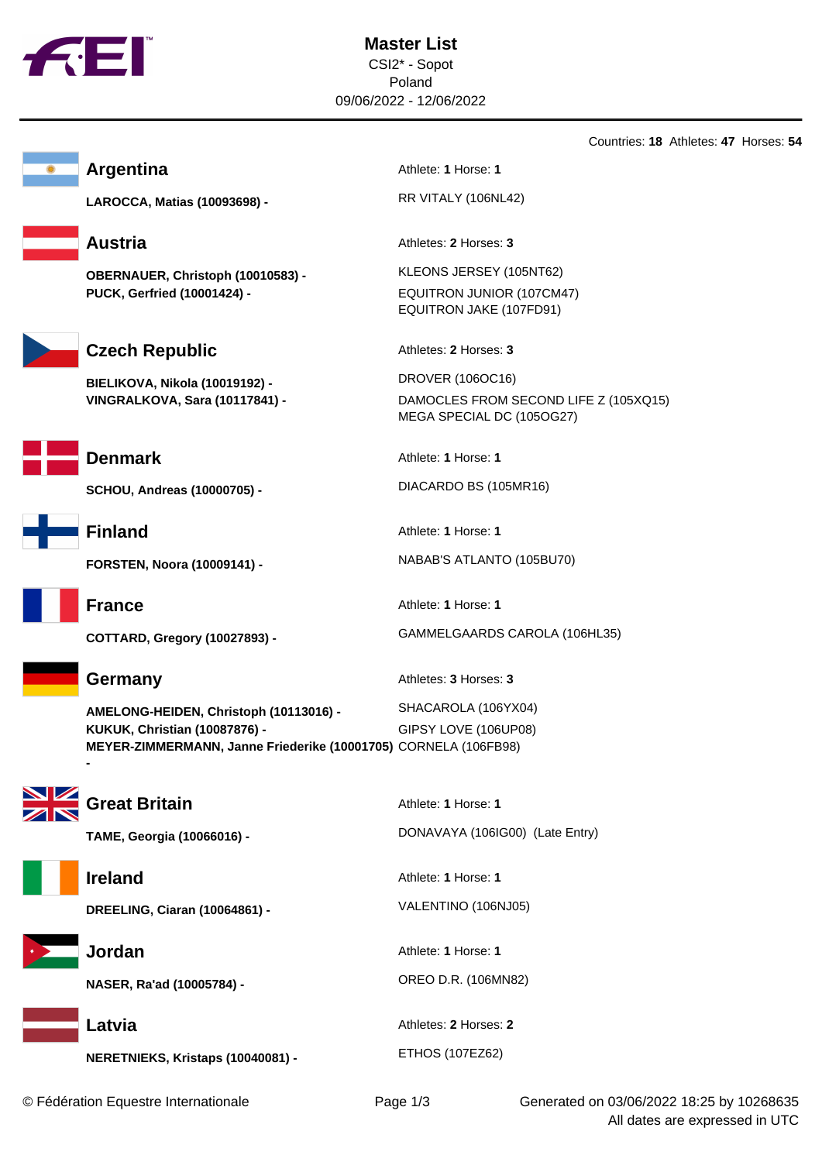



**LAROCCA, Matias (10093698) -** RR VITALY (106NL42)

**OBERNAUER, Christoph (10010583) -** KLEONS JERSEY (105NT62) **PUCK, Gerfried (10001424) -** EQUITRON JUNIOR (107CM47)



Czech Republic Athletes: 2 Horses: 3

**BIELIKOVA, Nikola (10019192) -** DROVER (106OC16)



**SCHOU, Andreas (10000705) -** DIACARDO BS (105MR16)



**AMELONG-HEIDEN, Christoph (10113016) -** SHACAROLA (106YX04) **KUKUK, Christian (10087876) -** GIPSY LOVE (106UP08) **MEYER-ZIMMERMANN, Janne Friederike (10001705)** CORNELA (106FB98)





**-** 



**NERETNIEKS, Kristaps (10040081) -** ETHOS (107EZ62)

**Argentina** Athlete: **1** Horse: **1** 

**Austria** Athletes: **2** Horses: **3** 

EQUITRON JAKE (107FD91)

**VINGRALKOVA, Sara (10117841) -** DAMOCLES FROM SECOND LIFE Z (105XQ15) MEGA SPECIAL DC (105OG27)

**Denmark** Athlete: **1** Horse: **1** 

**Finland** Athlete: **1** Horse: **1** 

**FORSTEN, Noora (10009141) -** NABAB'S ATLANTO (105BU70)

**France** Athlete: **1** Horse: **1** 

**COTTARD, Gregory (10027893) -** GAMMELGAARDS CAROLA (106HL35)

**Germany** Athletes: **3** Horses: **3** 

**Great Britain** Athlete: **1** Horse: **1 TAME, Georgia (10066016) -** DONAVAYA (106IG00) (Late Entry) **Ireland** Athlete: **1** Horse: **1 DREELING, Ciaran (10064861) -** VALENTINO (106NJ05) **Jordan** Athlete: **1** Horse: **1 NASER, Ra'ad (10005784) -** OREO D.R. (106MN82) **Latvia** Athletes: **2** Horses: **2** 

Countries: **18** Athletes: **47** Horses: **54**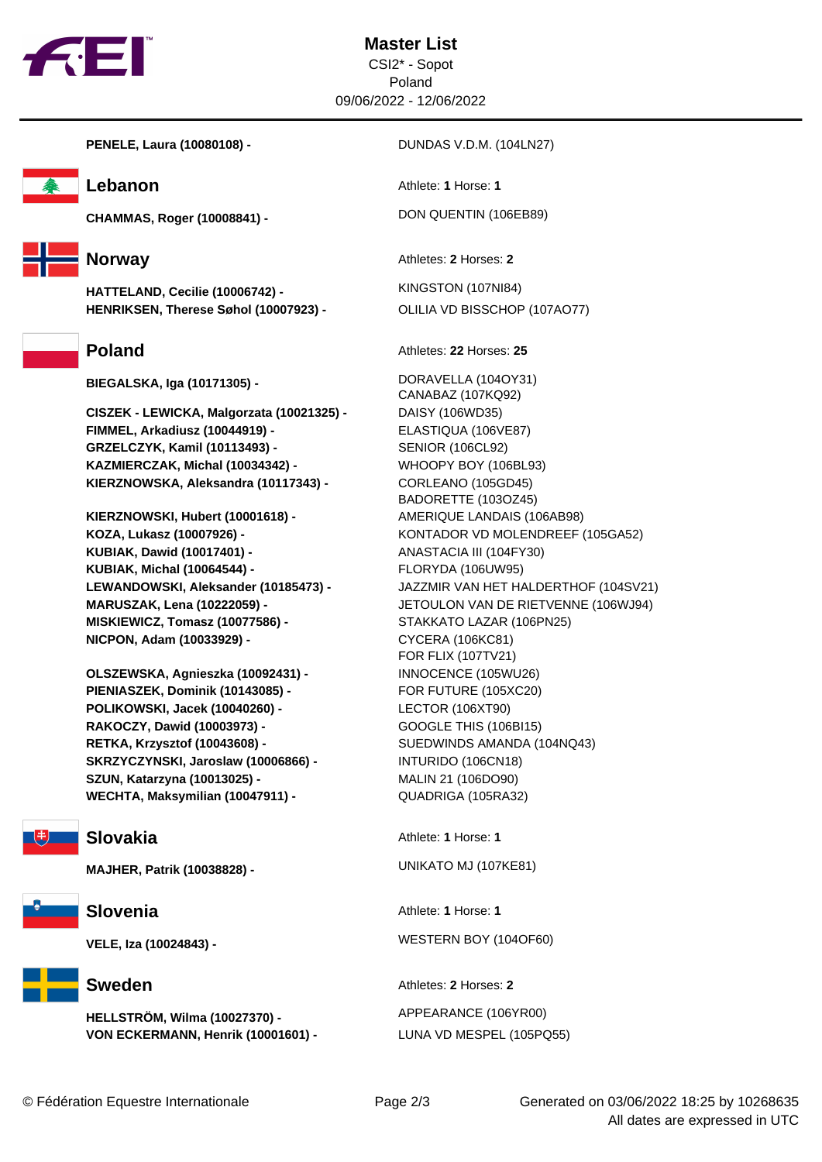

**Master List** CSI2\* - Sopot Poland 09/06/2022 - 12/06/2022





**CHAMMAS, Roger (10008841) -** DON QUENTIN (106EB89)



**HATTELAND, Cecilie (10006742) -** KINGSTON (107NI84) **HENRIKSEN, Therese Søhol (10007923) -** OLILIA VD BISSCHOP (107AO77)

**BIEGALSKA, Iga (10171305) -** DORAVELLA (104OY31)

**CISZEK - LEWICKA, Malgorzata (10021325) -** DAISY (106WD35) **FIMMEL, Arkadiusz (10044919) -** ELASTIQUA (106VE87) **GRZELCZYK, Kamil (10113493) -** SENIOR (106CL92) **KAZMIERCZAK, Michal (10034342) -** WHOOPY BOY (106BL93) **KIERZNOWSKA, Aleksandra (10117343) -** CORLEANO (105GD45)

**KIERZNOWSKI, Hubert (10001618) -** AMERIQUE LANDAIS (106AB98) **KOZA, Lukasz (10007926) -** KONTADOR VD MOLENDREEF (105GA52) **KUBIAK, Dawid (10017401) -** ANASTACIA III (104FY30) **KUBIAK, Michal (10064544) -** FLORYDA (106UW95) **MISKIEWICZ, Tomasz (10077586) -** STAKKATO LAZAR (106PN25) **NICPON, Adam (10033929) -** CYCERA (106KC81)

**OLSZEWSKA, Agnieszka (10092431) -** INNOCENCE (105WU26) **PIENIASZEK, Dominik (10143085) -** FOR FUTURE (105XC20) **POLIKOWSKI, Jacek (10040260) -** LECTOR (106XT90) **RAKOCZY, Dawid (10003973) -** GOOGLE THIS (106BI15) **RETKA, Krzysztof (10043608) -** SUEDWINDS AMANDA (104NQ43) **SKRZYCZYNSKI, Jaroslaw (10006866) -** INTURIDO (106CN18) **SZUN, Katarzyna (10013025) -** MALIN 21 (106DO90) **WECHTA, Maksymilian (10047911) -** QUADRIGA (105RA32)

**MAJHER, Patrik (10038828) -** UNIKATO MJ (107KE81)



**HELLSTRÖM, Wilma (10027370) -** APPEARANCE (106YR00) **VON ECKERMANN, Henrik (10001601) -** LUNA VD MESPEL (105PQ55)

**Lebanon** Athlete: **1** Horse: **1** 

**Norway** Athletes: 2 Horses: 2

**Poland** Athletes: **22** Horses: **25** 

CANABAZ (107KQ92) BADORETTE (103OZ45) **LEWANDOWSKI, Aleksander (10185473) -** JAZZMIR VAN HET HALDERTHOF (104SV21) **MARUSZAK, Lena (10222059) -** JETOULON VAN DE RIETVENNE (106WJ94) FOR FLIX (107TV21)

**Slovakia** Athlete: **1** Horse: **1** 

**Slovenia** Athlete: **1** Horse: **1** 

**VELE, Iza (10024843) -** WESTERN BOY (104OF60)

**Sweden** Athletes: **2** Horses: **2**